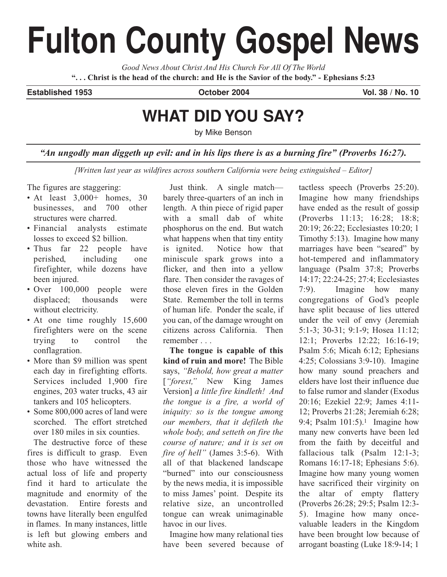# **Fulton County Gospel News**

*Good News About Christ And His Church For All Of The World* **". . . Christ is the head of the church: and He is the Savior of the body." - Ephesians 5:23**

**Established 1953 October 2004 Vol. 38 / No. 10**

# **WHAT DID YOU SAY?**

by Mike Benson

*"An ungodly man diggeth up evil: and in his lips there is as a burning fire" (Proverbs 16:27).*

*[Written last year as wildfires across southern California were being extinguished – Editor]*

The figures are staggering:

- At least  $3.000+$  homes, 30 businesses, and 700 other structures were charred.
- Financial analysts estimate losses to exceed \$2 billion.
- Thus far 22 people have perished, including one firefighter, while dozens have been injured.
- Over 100,000 people were displaced; thousands were without electricity.
- At one time roughly 15,600 firefighters were on the scene trying to control the conflagration.
- More than \$9 million was spent each day in firefighting efforts. Services included 1,900 fire engines, 203 water trucks, 43 air tankers and 105 helicopters.
- Some 800,000 acres of land were scorched. The effort stretched over 180 miles in six counties.

The destructive force of these fires is difficult to grasp. Even those who have witnessed the actual loss of life and property find it hard to articulate the magnitude and enormity of the devastation. Entire forests and towns have literally been engulfed in flames. In many instances, little is left but glowing embers and white ash.

Just think. A single match barely three-quarters of an inch in length. A thin piece of rigid paper with a small dab of white phosphorus on the end. But watch what happens when that tiny entity is ignited. Notice how that miniscule spark grows into a flicker, and then into a yellow flare. Then consider the ravages of those eleven fires in the Golden State. Remember the toll in terms of human life. Ponder the scale, if you can, of the damage wrought on citizens across California. Then remember . . .

**The tongue is capable of this kind of ruin and more!** The Bible says, *"Behold, how great a matter* [*"forest,"* New King James Version] *a little fire kindleth! And the tongue is a fire, a world of iniquity: so is the tongue among our members, that it defileth the whole body, and setteth on fire the course of nature; and it is set on fire of hell"* (James 3:5-6). With all of that blackened landscape "burned" into our consciousness by the news media, it is impossible to miss James' point. Despite its relative size, an uncontrolled tongue can wreak unimaginable havoc in our lives.

Imagine how many relational ties have been severed because of

tactless speech (Proverbs 25:20). Imagine how many friendships have ended as the result of gossip (Proverbs 11:13; 16:28; 18:8; 20:19; 26:22; Ecclesiastes 10:20; 1 Timothy 5:13). Imagine how many marriages have been "seared" by hot-tempered and inflammatory language (Psalm 37:8; Proverbs 14:17; 22:24-25; 27:4; Ecclesiastes 7:9). Imagine how many congregations of God's people have split because of lies uttered under the veil of envy (Jeremiah 5:1-3; 30-31; 9:1-9; Hosea 11:12; 12:1; Proverbs 12:22; 16:16-19; Psalm 5:6; Micah 6:12; Ephesians 4:25; Colossians 3:9-10). Imagine how many sound preachers and elders have lost their influence due to false rumor and slander (Exodus 20:16; Ezekiel 22:9; James 4:11- 12; Proverbs 21:28; Jeremiah 6:28; 9:4; Psalm  $101:5$ ).<sup>1</sup> Imagine how many new converts have been led from the faith by deceitful and fallacious talk (Psalm 12:1-3; Romans 16:17-18; Ephesians 5:6). Imagine how many young women have sacrificed their virginity on the altar of empty flattery (Proverbs 26:28; 29:5; Psalm 12:3- 5). Imagine how many oncevaluable leaders in the Kingdom have been brought low because of arrogant boasting (Luke 18:9-14; 1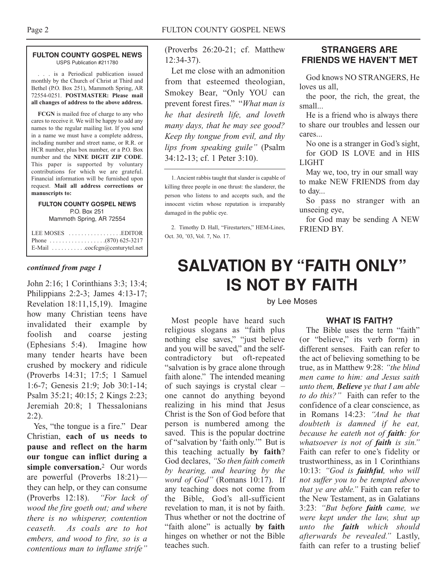#### **FULTON COUNTY GOSPEL NEWS** USPS Publication #211780

. . . is a Periodical publication issued monthly by the Church of Christ at Third and Bethel (P.O. Box 251), Mammoth Spring, AR 72554-0251. **POSTMASTER: Please mail all changes of address to the above address.**

**FCGN** is mailed free of charge to any who cares to receive it. We will be happy to add any names to the regular mailing list. If you send in a name we must have a complete address, including number and street name, or R.R. or HCR number, plus box number, or a P.O. Box number and the **NINE DIGIT ZIP CODE**. This paper is supported by voluntary contributions for which we are grateful. Financial information will be furnished upon request. **Mail all address corrections or manuscripts to:**

#### **FULTON COUNTY GOSPEL NEWS** P.O. Box 251 Mammoth Spring, AR 72554

| Phone $\ldots \ldots \ldots \ldots \ldots (870) 625-3217$ |
|-----------------------------------------------------------|
| E-Mail cocfcgn@centurytel.net                             |

## *continued from page 1*

John 2:16; 1 Corinthians 3:3; 13:4; Philippians 2:2-3; James 4:13-17; Revelation 18:11,15,19). Imagine how many Christian teens have invalidated their example by foolish and coarse jesting (Ephesians 5:4). Imagine how many tender hearts have been crushed by mockery and ridicule (Proverbs 14:31; 17:5; 1 Samuel 1:6-7; Genesis 21:9; Job 30:1-14; Psalm 35:21; 40:15; 2 Kings 2:23; Jeremiah 20:8; 1 Thessalonians 2:2).

Yes, "the tongue is a fire." Dear Christian, **each of us needs to pause and reflect on the harm our tongue can inflict during a simple conversation.**<sup>2</sup> Our words are powerful (Proverbs 18:21) they can help, or they can consume (Proverbs 12:18). *"For lack of wood the fire goeth out; and where there is no whisperer, contention ceaseth. As coals are to hot embers, and wood to fire, so is a contentious man to inflame strife"*

(Proverbs 26:20-21; cf. Matthew 12:34-37).

Let me close with an admonition from that esteemed theologian, Smokey Bear, "Only YOU can prevent forest fires." "*What man is he that desireth life, and loveth many days, that he may see good? Keep thy tongue from evil, and thy lips from speaking guile"* (Psalm 34:12-13; cf. 1 Peter 3:10).

1. Ancient rabbis taught that slander is capable of killing three people in one thrust: the slanderer, the person who listens to and accepts such, and the innocent victim whose reputation is irreparably damaged in the public eye.

2. Timothy D. Hall, "Firestarters," HEM-Lines, Oct. 30, '03, Vol. 7, No. 17.

# **STRANGERS ARE FRIENDS WE HAVEN'T MET**

God knows NO STRANGERS, He loves us all,

the poor, the rich, the great, the small...

He is a friend who is always there to share our troubles and lessen our cares...

No one is a stranger in God's sight, for GOD IS LOVE and in HIS LIGHT

May we, too, try in our small way to make NEW FRIENDS from day to day...

So pass no stranger with an unseeing eye,

for God may be sending A NEW FRIEND BY.

# **SALVATION BY "FAITH ONLY" IS NOT BY FAITH**

#### by Lee Moses

Most people have heard such religious slogans as "faith plus nothing else saves," "just believe and you will be saved," and the selfcontradictory but oft-repeated "salvation is by grace alone through faith alone." The intended meaning of such sayings is crystal clear – one cannot do anything beyond realizing in his mind that Jesus Christ is the Son of God before that person is numbered among the saved. This is the popular doctrine of "salvation by 'faith only.'" But is this teaching actually **by faith**? God declares, *"So then faith cometh by hearing, and hearing by the word of God"* (Romans 10:17). If any teaching does not come from the Bible, God's all-sufficient revelation to man, it is not by faith. Thus whether or not the doctrine of "faith alone" is actually **by faith** hinges on whether or not the Bible teaches such.

## **WHAT IS FAITH?**

The Bible uses the term "faith" (or "believe," its verb form) in different senses. Faith can refer to the act of believing something to be true, as in Matthew 9:28: *"the blind men came to him: and Jesus saith unto them, Believe ye that I am able to do this?"* Faith can refer to the confidence of a clear conscience, as in Romans 14:23: *"And he that doubteth is damned if he eat, because he eateth not of faith: for whatsoever is not of faith is sin."* Faith can refer to one's fidelity or trustworthiness, as in 1 Corinthians 10:13: *"God is faithful, who will not suffer you to be tempted above that ye are able."* Faith can refer to the New Testament, as in Galatians 3:23: *"But before faith came, we were kept under the law, shut up unto the faith which should afterwards be revealed."* Lastly, faith can refer to a trusting belief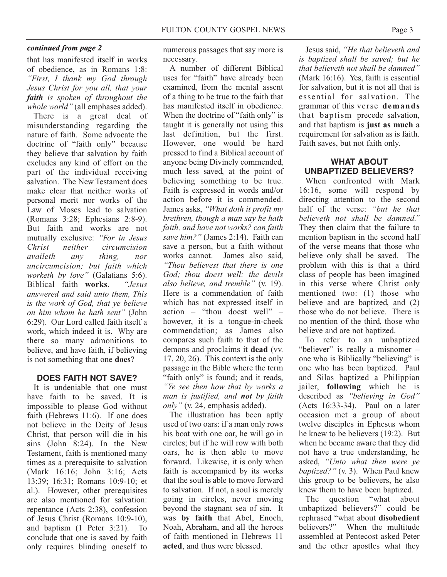#### *continued from page 2*

that has manifested itself in works of obedience, as in Romans 1:8: *"First, I thank my God through Jesus Christ for you all, that your faith is spoken of throughout the whole world"* (all emphases added).

There is a great deal of misunderstanding regarding the nature of faith. Some advocate the doctrine of "faith only" because they believe that salvation by faith excludes any kind of effort on the part of the individual receiving salvation. The New Testament does make clear that neither works of personal merit nor works of the Law of Moses lead to salvation (Romans 3:28; Ephesians 2:8-9). But faith and works are not mutually exclusive: *"For in Jesus Christ neither circumcision availeth any thing, nor uncircumcision; but faith which worketh by love"* (Galatians 5:6). Biblical faith **works**. *answered and said unto them, This is the work of God, that ye believe on him whom he hath sent"* (John 6:29). Our Lord called faith itself a work, which indeed it is. Why are there so many admonitions to believe, and have faith, if believing is not something that one **does**?

#### **DOES FAITH NOT SAVE?**

It is undeniable that one must have faith to be saved. It is impossible to please God without faith (Hebrews 11:6). If one does not believe in the Deity of Jesus Christ, that person will die in his sins (John 8:24). In the New Testament, faith is mentioned many times as a prerequisite to salvation (Mark 16:16; John 3:16; Acts 13:39; 16:31; Romans 10:9-10; et al.). However, other prerequisites are also mentioned for salvation: repentance (Acts 2:38), confession of Jesus Christ (Romans 10:9-10), and baptism (1 Peter 3:21). To conclude that one is saved by faith only requires blinding oneself to

numerous passages that say more is necessary.

A number of different Biblical uses for "faith" have already been examined, from the mental assent of a thing to be true to the faith that has manifested itself in obedience. When the doctrine of "faith only" is taught it is generally not using this last definition, but the first. However, one would be hard pressed to find a Biblical account of anyone being Divinely commended, much less saved, at the point of believing something to be true. Faith is expressed in words and/or action before it is commended. James asks, *"What doth it profit my brethren, though a man say he hath faith, and have not works? can faith save him?"* (James 2:14). Faith can save a person, but a faith without works cannot. James also said, *"Thou believest that there is one God; thou doest well: the devils also believe, and tremble"* (v. 19). Here is a commendation of faith which has not expressed itself in action – "thou doest well" – however, it is a tongue-in-cheek commendation; as James also compares such faith to that of the demons and proclaims it **dead** (vv. 17, 20, 26). This context is the only passage in the Bible where the term "faith only" is found; and it reads, *"Ye see then how that by works a man is justified, and not by faith only"* (v. 24, emphasis added).

The illustration has been aptly used of two oars: if a man only rows his boat with one oar, he will go in circles; but if he will row with both oars, he is then able to move forward. Likewise, it is only when faith is accompanied by its works that the soul is able to move forward to salvation. If not, a soul is merely going in circles, never moving beyond the stagnant sea of sin. It was **by faith** that Abel, Enoch, Noah, Abraham, and all the heroes of faith mentioned in Hebrews 11 **acted**, and thus were blessed.

Jesus said, *"He that believeth and is baptized shall be saved; but he that believeth not shall be damned"* (Mark 16:16). Yes, faith is essential for salvation, but it is not all that is essential for salvation. The grammar of this verse **demands** that baptism precede salvation, and that baptism is **just as much** a requirement for salvation as is faith. Faith saves, but not faith only.

## **WHAT ABOUT UNBAPTIZED BELIEVERS?**

When confronted with Mark 16:16, some will respond by directing attention to the second half of the verse: *"but he that believeth not shall be damned."* They then claim that the failure to mention baptism in the second half of the verse means that those who believe only shall be saved. The problem with this is that a third class of people has been imagined in this verse where Christ only mentioned two: (1) those who believe and are baptized, and (2) those who do not believe. There is no mention of the third, those who believe and are not baptized.

To refer to an unbaptized "believer" is really a misnomer one who is Biblically "believing" is one who has been baptized. Paul and Silas baptized a Philippian jailer, **following** which he is described as *"believing in God"* (Acts 16:33-34). Paul on a later occasion met a group of about twelve disciples in Ephesus whom he knew to be believers (19:2). But when he became aware that they did not have a true understanding, he asked, *"Unto what then were ye baptized?"* (v. 3). When Paul knew this group to be believers, he also knew them to have been baptized.

The question "what about unbaptized believers?" could be rephrased "what about **disobedient** believers?" When the multitude assembled at Pentecost asked Peter and the other apostles what they